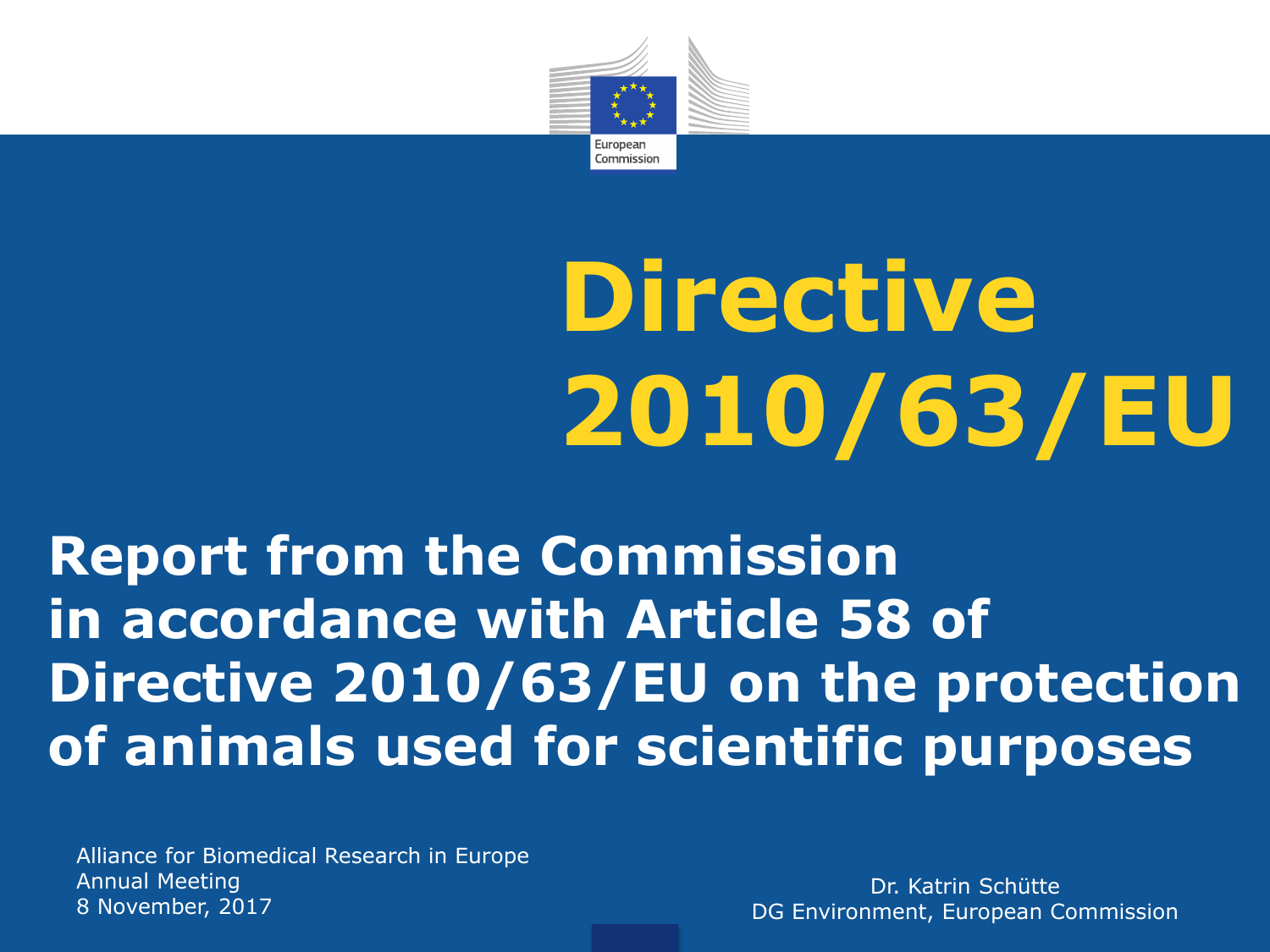

# **Directive 2010/63/EU**

#### **Report from the Commission in accordance with Article 58 of Directive 2010/63/EU on the protection of animals used for scientific purposes**

Alliance for Biomedical Research in Europe Annual Meeting 8 November, 2017

Dr. Katrin Schütte DG Environment, European Commission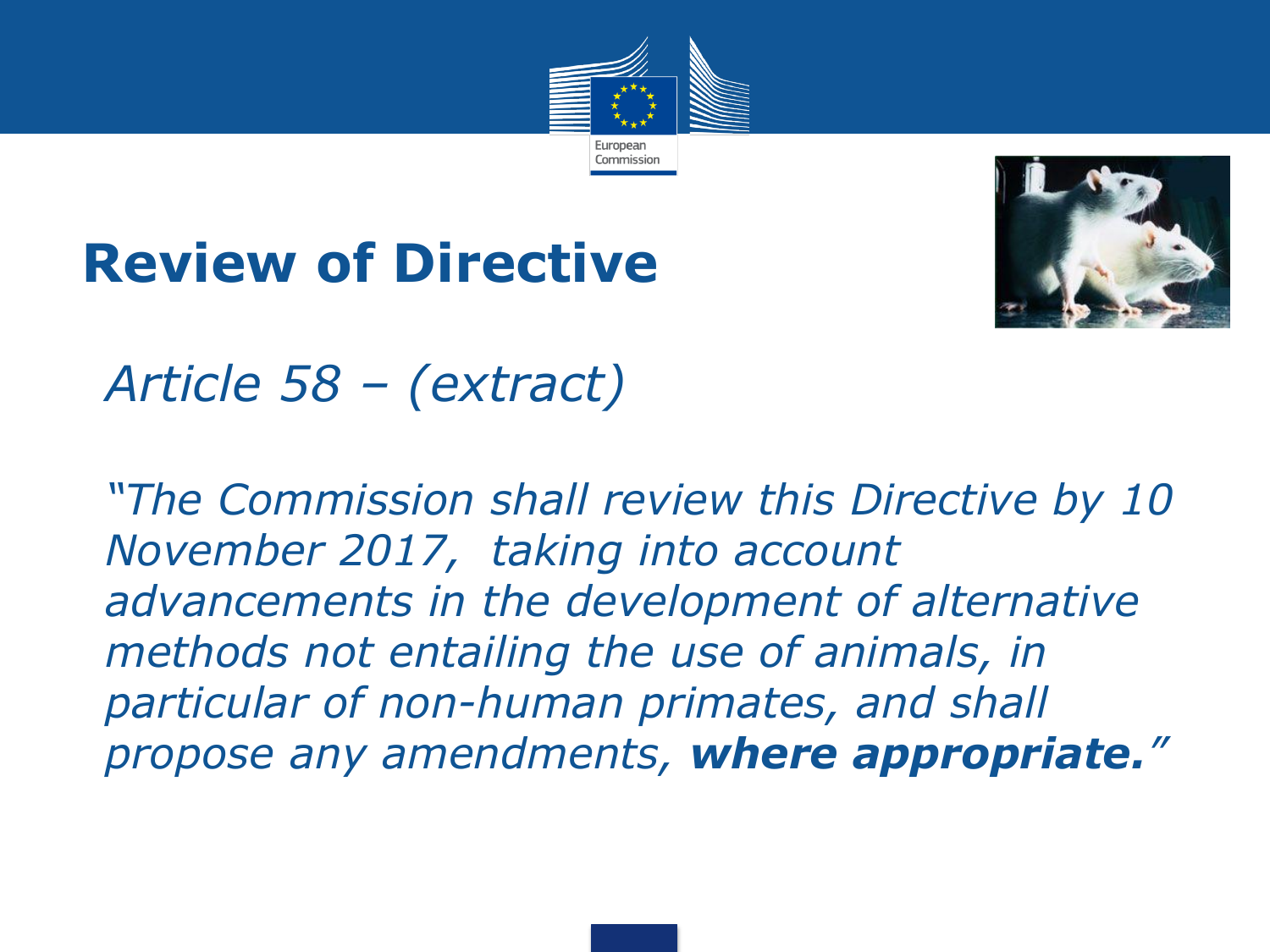





#### • *Article 58 – (extract)*

• *"The Commission shall review this Directive by 10 November 2017, taking into account advancements in the development of alternative methods not entailing the use of animals, in particular of non-human primates, and shall propose any amendments, where appropriate."*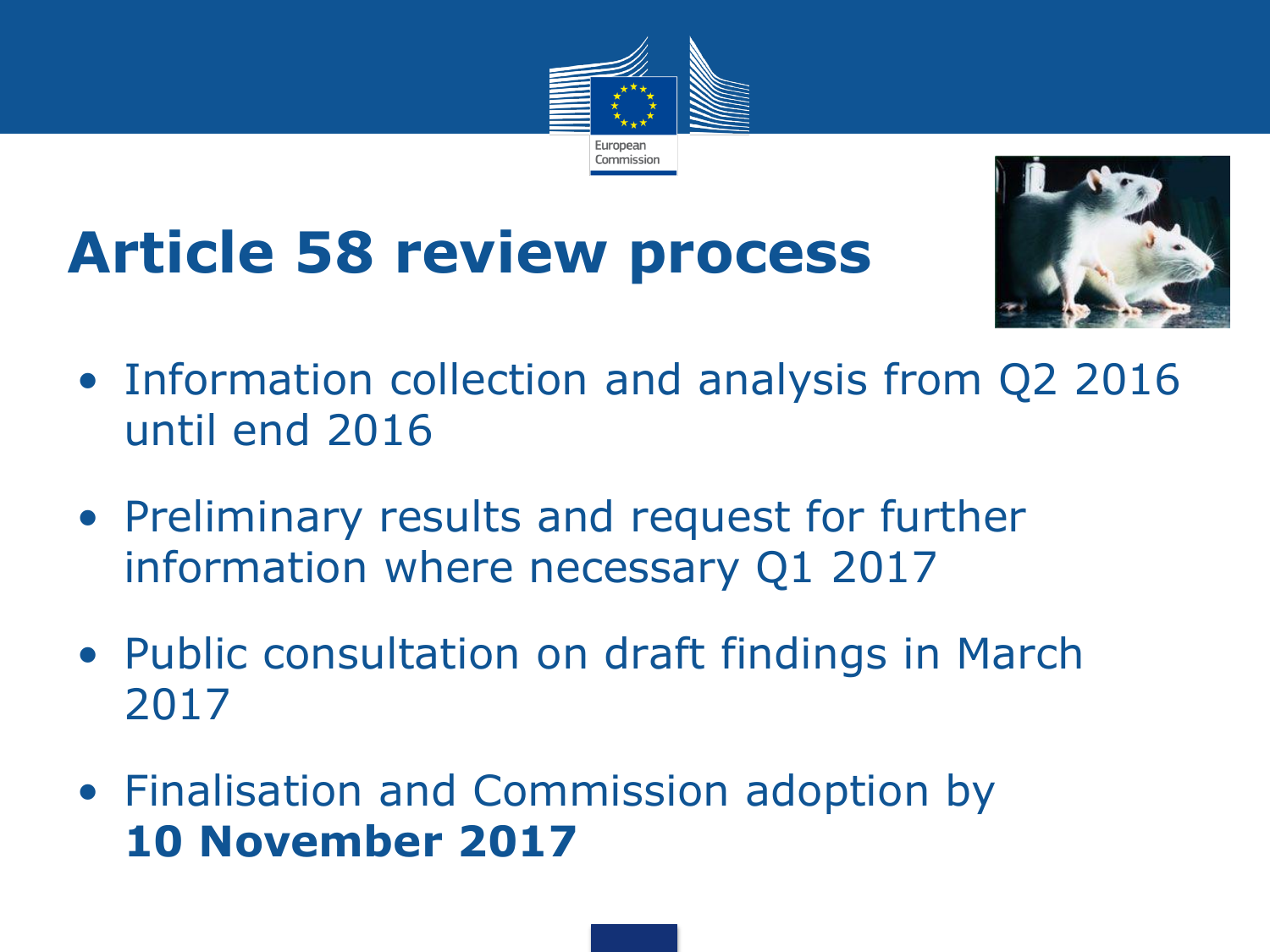

# **Article 58 review process**



- Information collection and analysis from Q2 2016 until end 2016
- Preliminary results and request for further information where necessary Q1 2017
- Public consultation on draft findings in March 2017
- Finalisation and Commission adoption by **10 November 2017**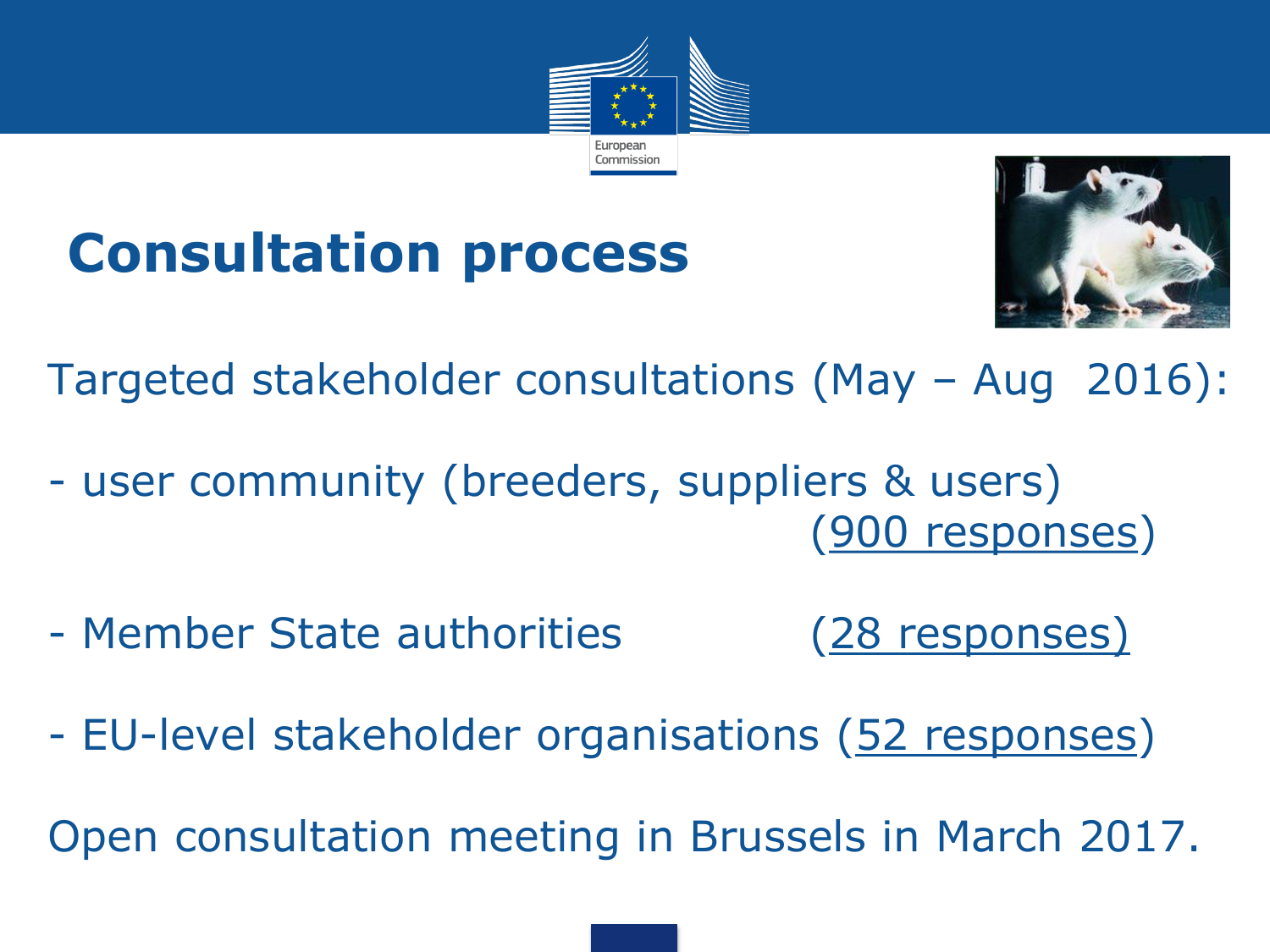

#### **Consultation process**



Targeted stakeholder consultations (May – Aug 2016):

- user community (breeders, suppliers & users) (900 responses)
- Member State authorities (28 responses)
- EU-level stakeholder organisations (52 responses)

Open consultation meeting in Brussels in March 2017.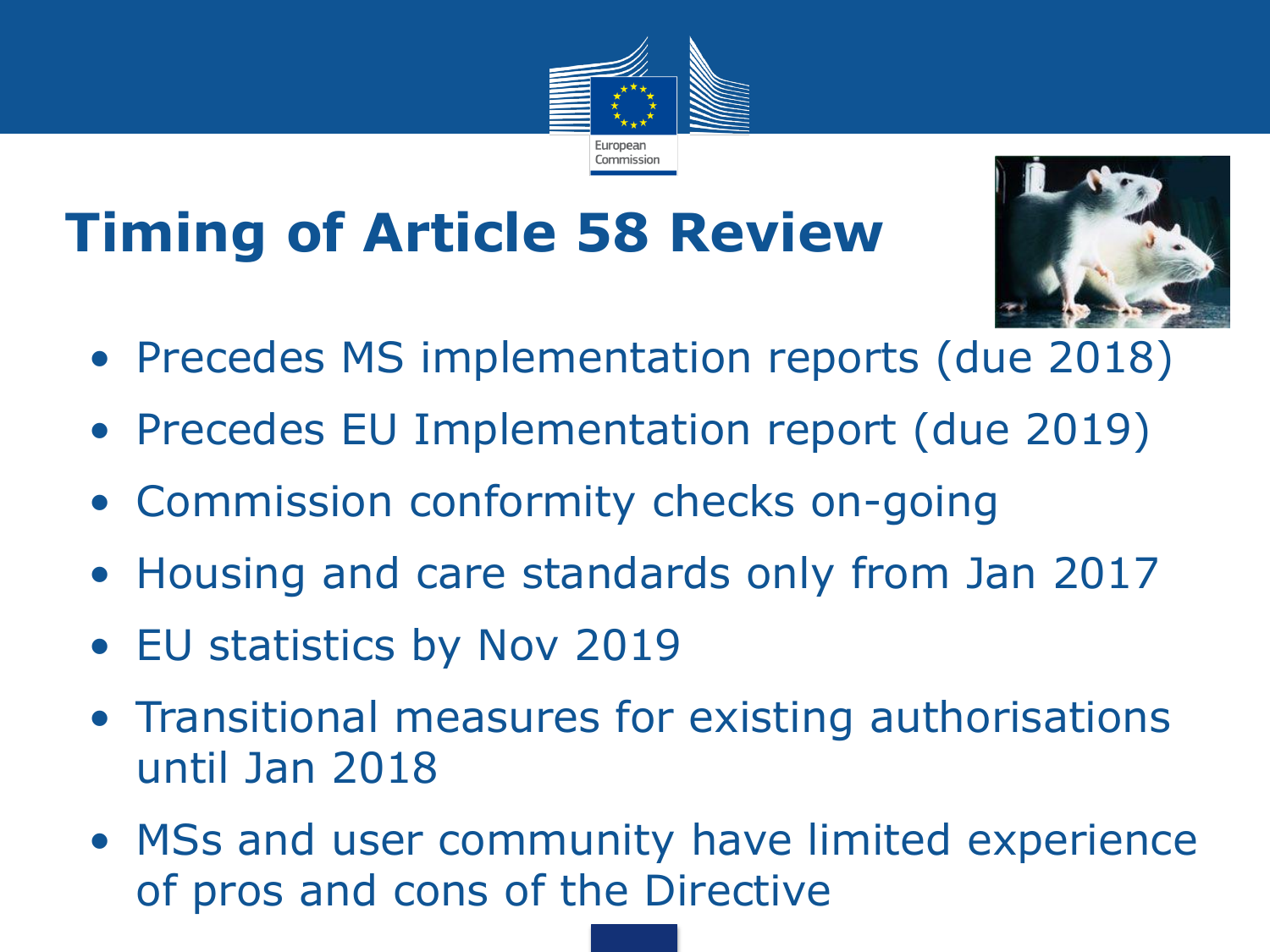# **Timing of Article 58 Review**



• Precedes MS implementation reports (due 2018)

European Commission

- Precedes EU Implementation report (due 2019)
- Commission conformity checks on-going
- Housing and care standards only from Jan 2017
- EU statistics by Nov 2019
- Transitional measures for existing authorisations until Jan 2018
- MSs and user community have limited experience of pros and cons of the Directive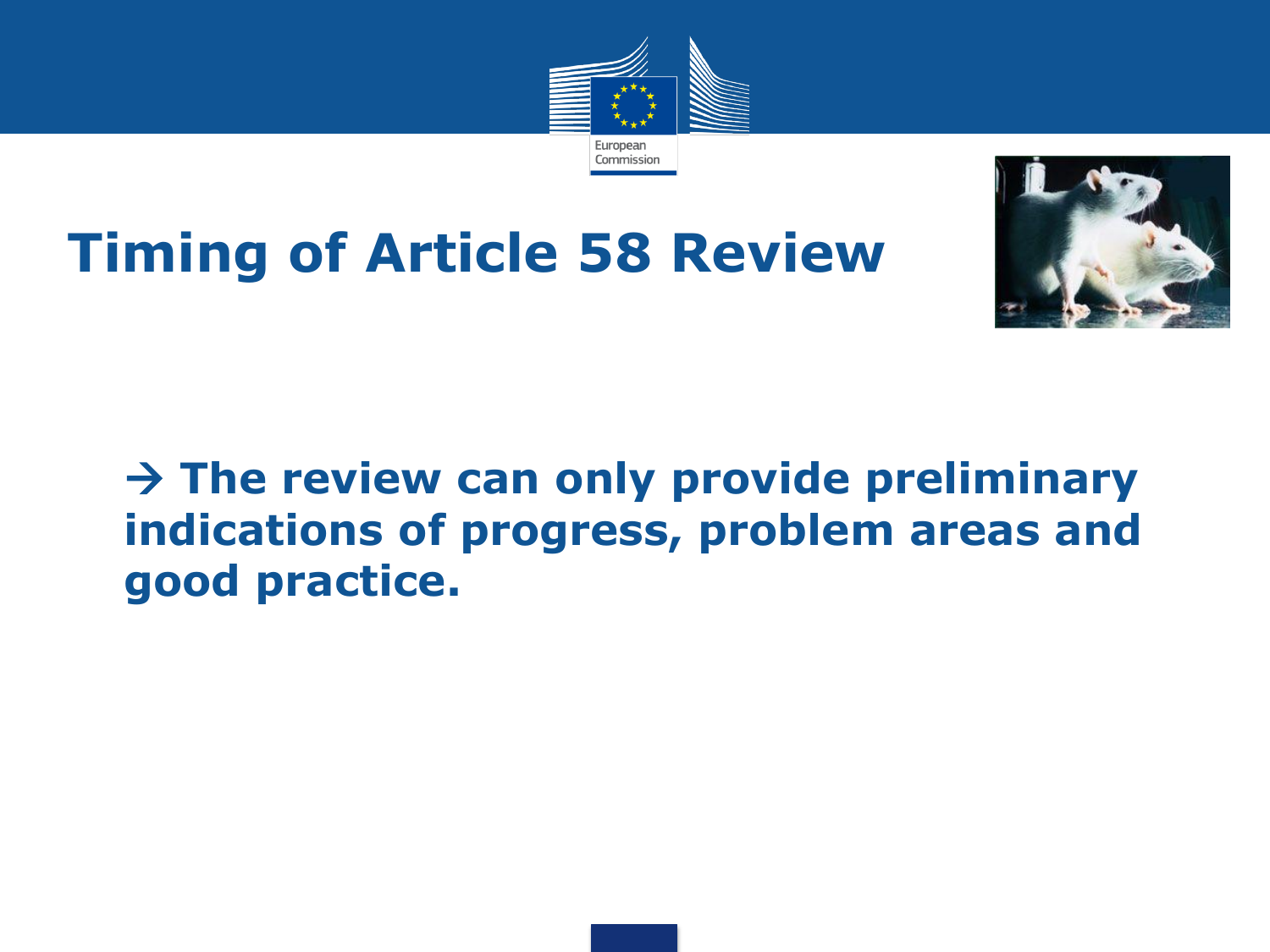

#### **Timing of Article 58 Review**



#### • **The review can only provide preliminary indications of progress, problem areas and good practice.**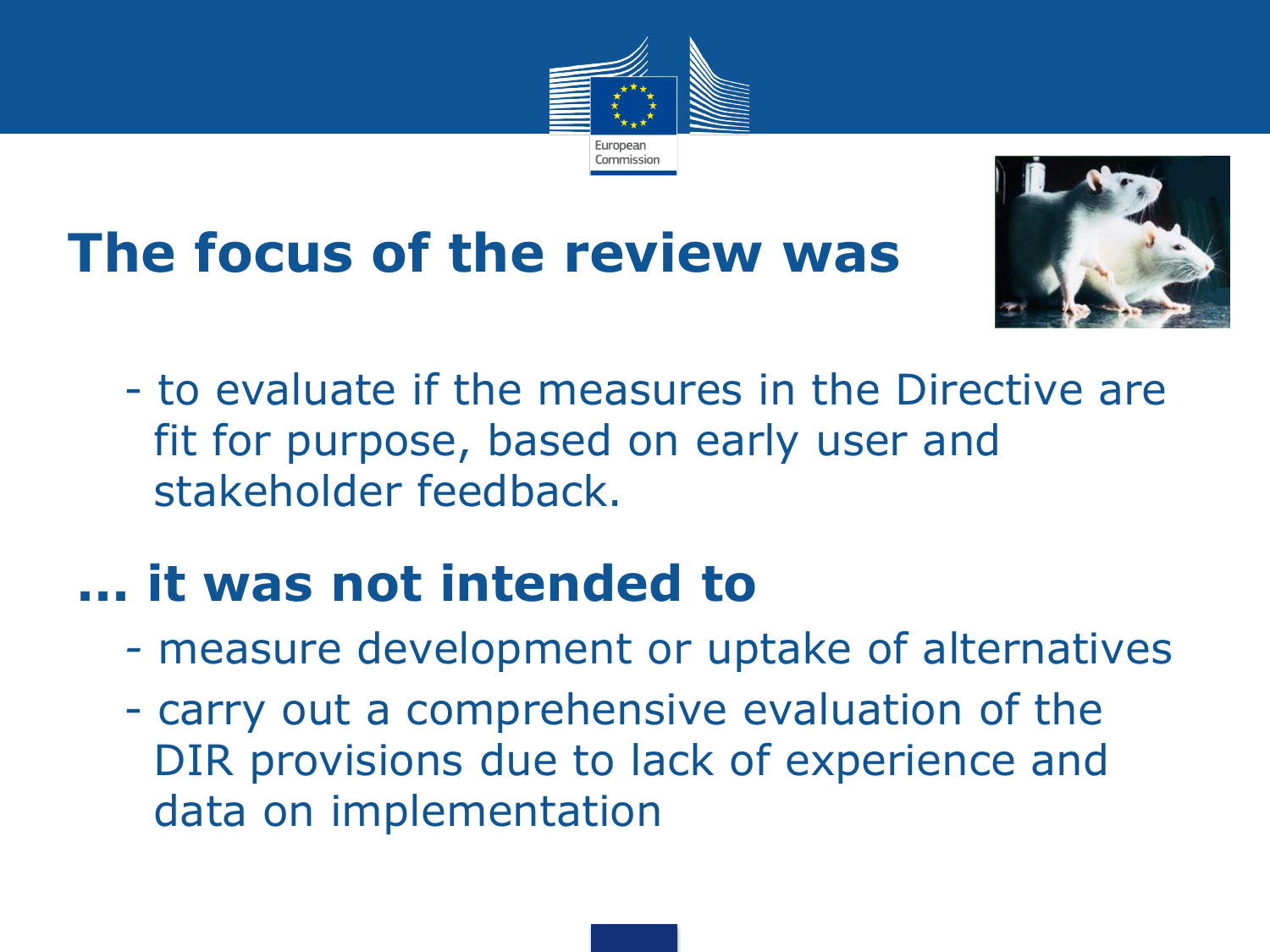

# **The focus of the review was**



• - to evaluate if the measures in the Directive are fit for purpose, based on early user and stakeholder feedback.

#### **... it was not intended to**

- *-* measure development or uptake of alternatives
- carry out a comprehensive evaluation of the DIR provisions due to lack of experience and data on implementation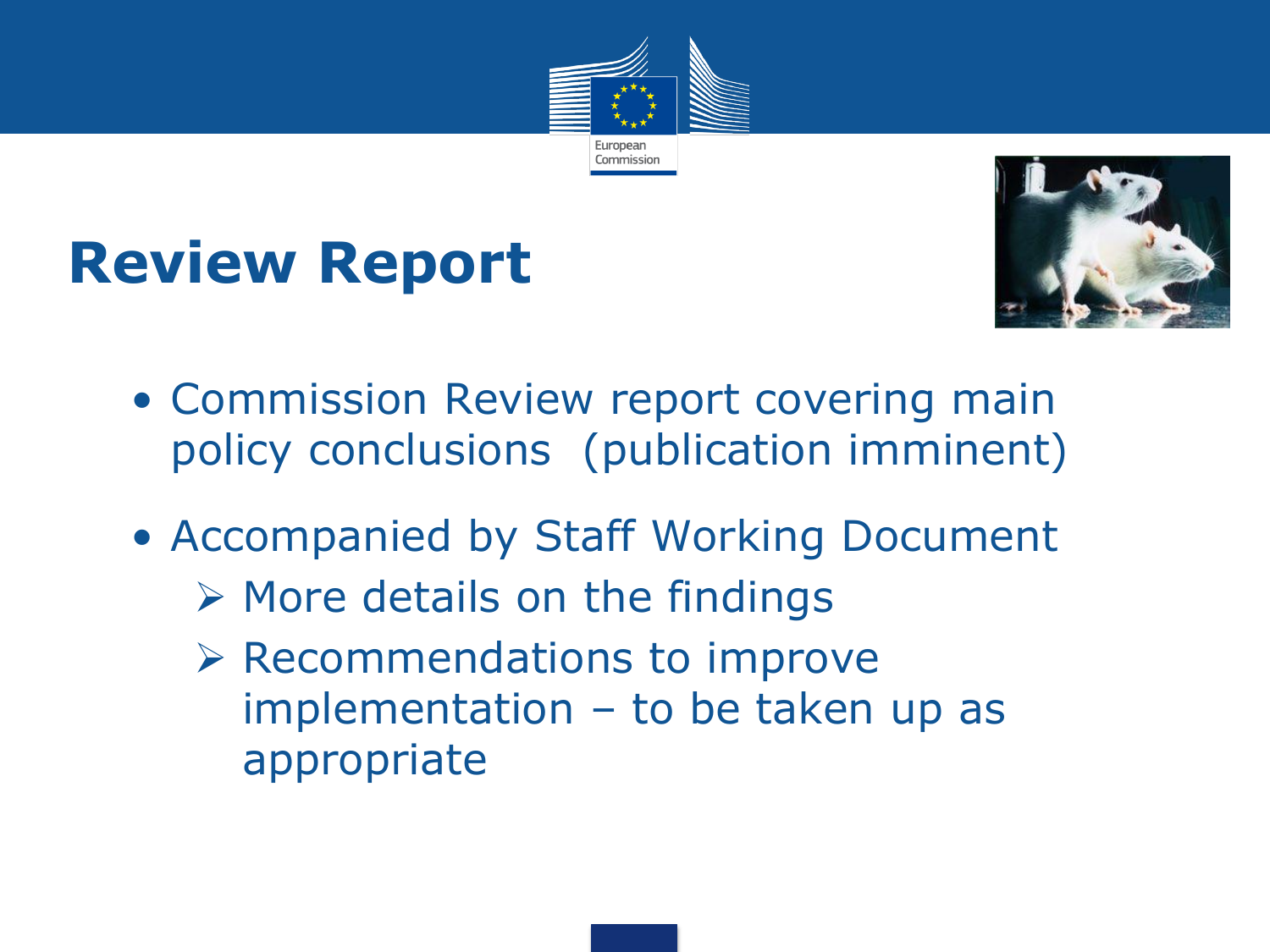

### **Review Report**



- Commission Review report covering main policy conclusions (publication imminent)
- Accompanied by Staff Working Document
	- $\triangleright$  More details on the findings
	- $\triangleright$  Recommendations to improve implementation – to be taken up as appropriate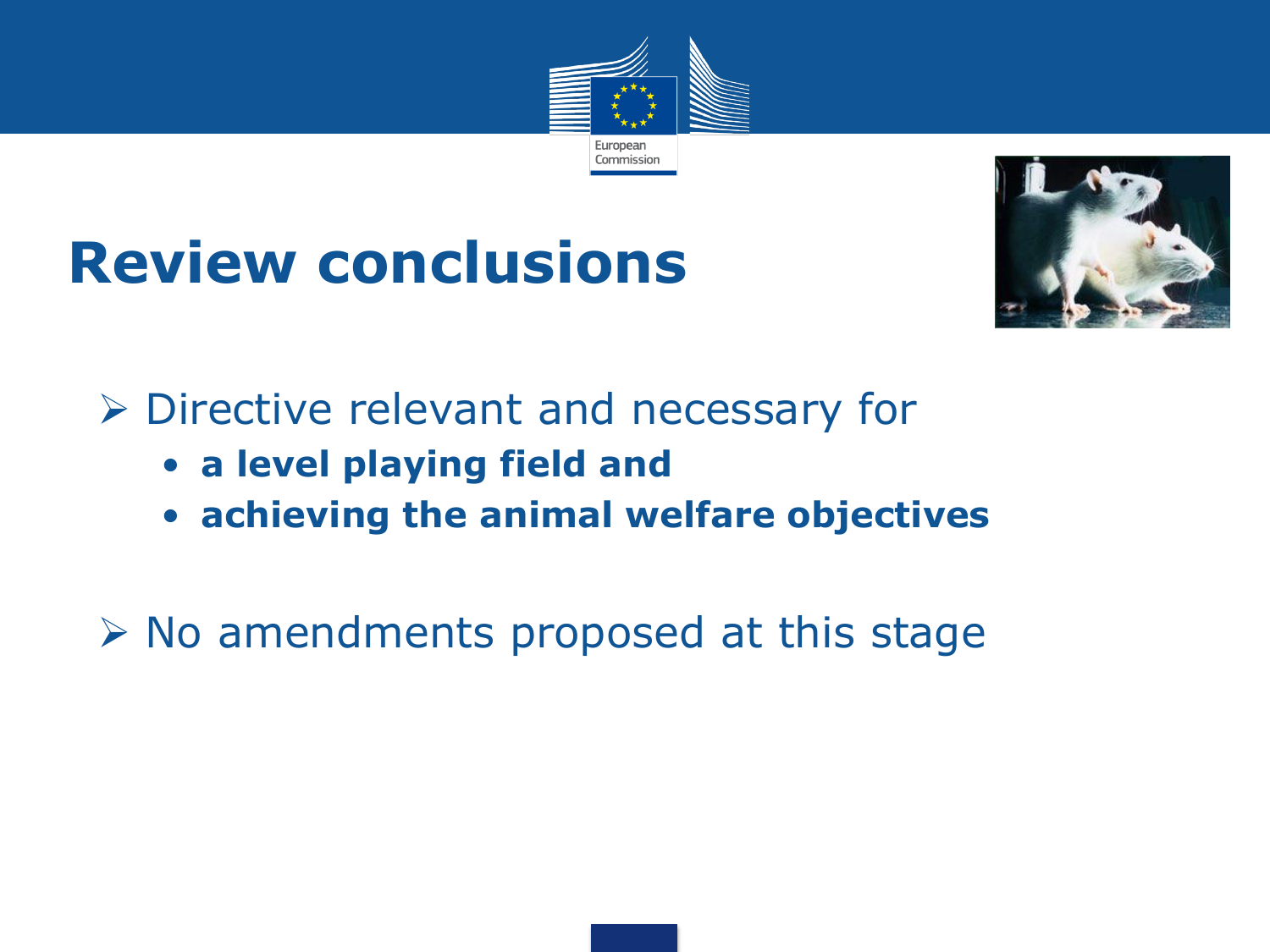

#### **Review conclusions**



**▶ Directive relevant and necessary for** 

- **a level playing field and**
- **achieving the animal welfare objectives**

 $\triangleright$  No amendments proposed at this stage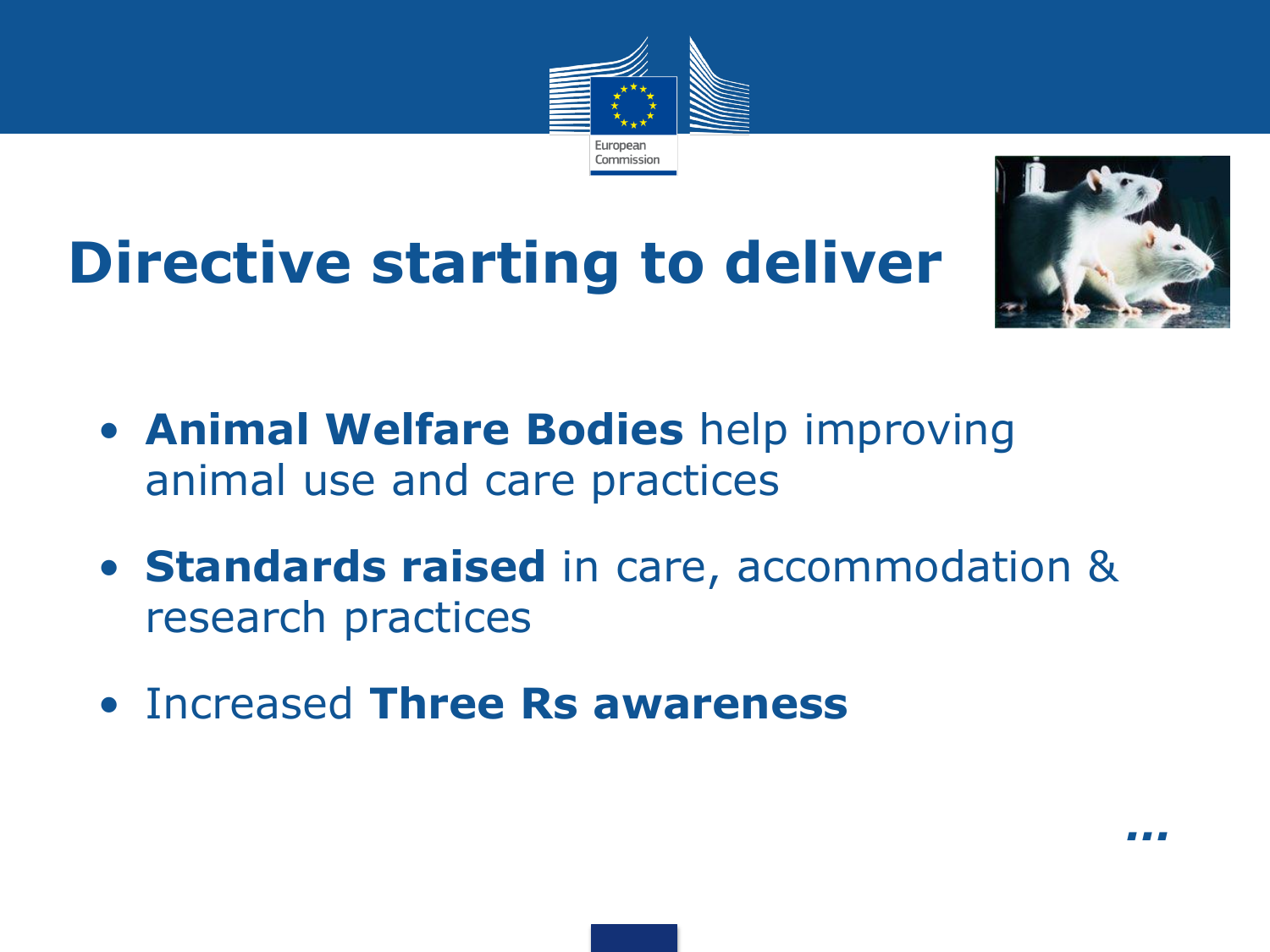

# **Directive starting to deliver**



- **Animal Welfare Bodies** help improving animal use and care practices
- **Standards raised** in care, accommodation & research practices
- Increased **Three Rs awareness**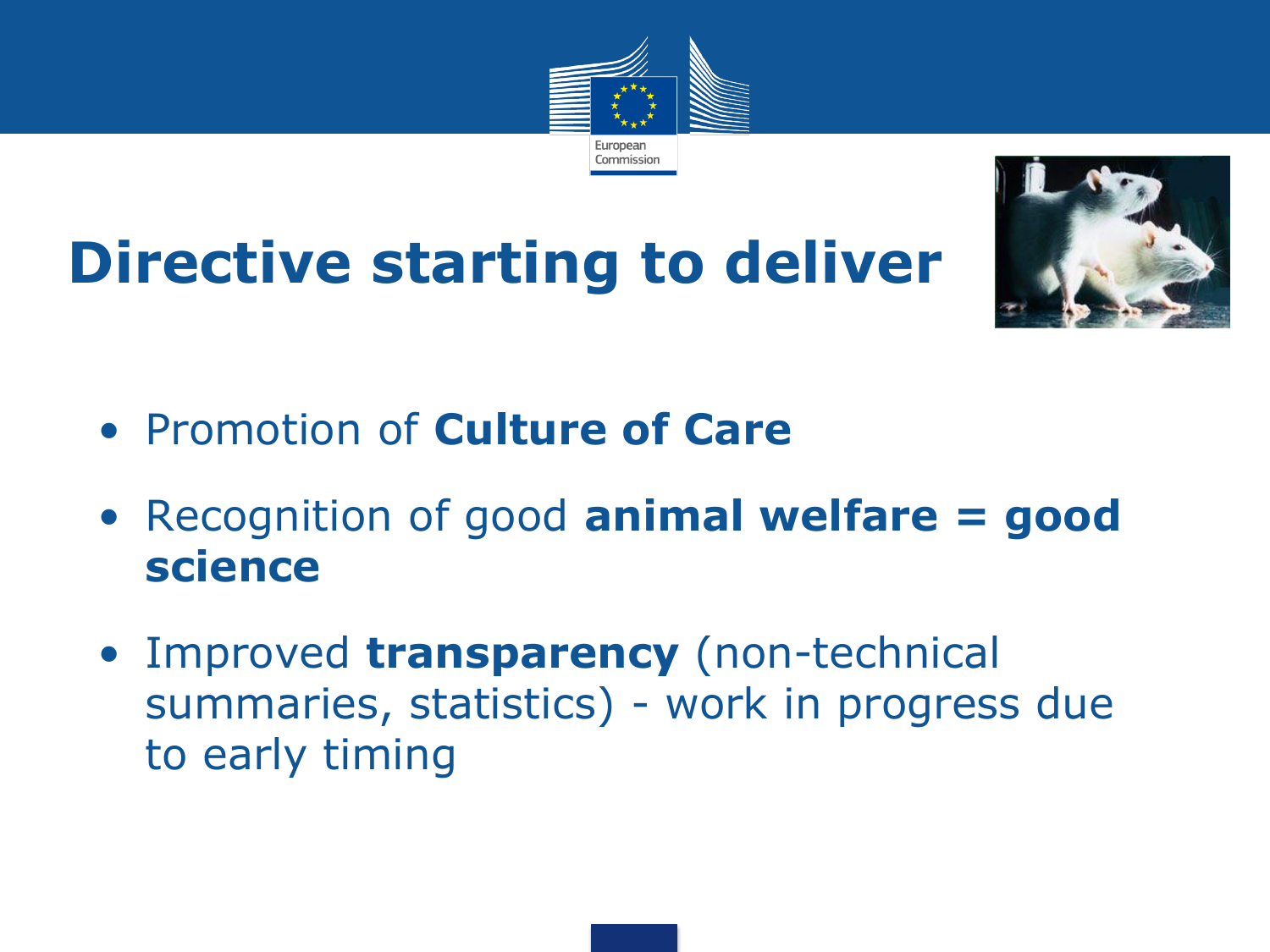

# **Directive starting to deliver**



- Promotion of **Culture of Care**
- Recognition of good **animal welfare = good science**
- Improved **transparency** (non-technical summaries, statistics) - work in progress due to early timing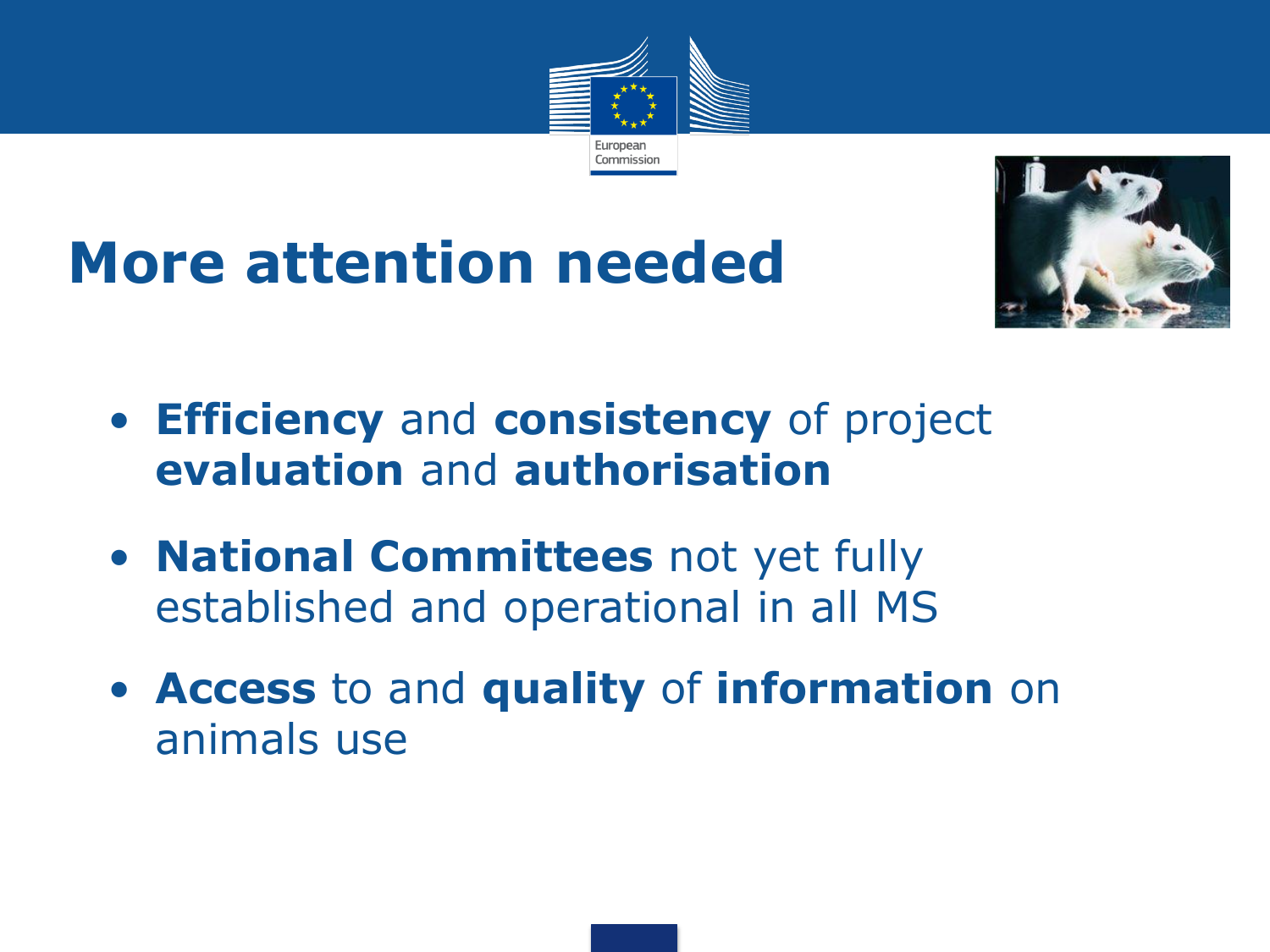

# **More attention needed**



- **Efficiency** and **consistency** of project **evaluation** and **authorisation**
- **National Committees** not yet fully established and operational in all MS
- **Access** to and **quality** of **information** on animals use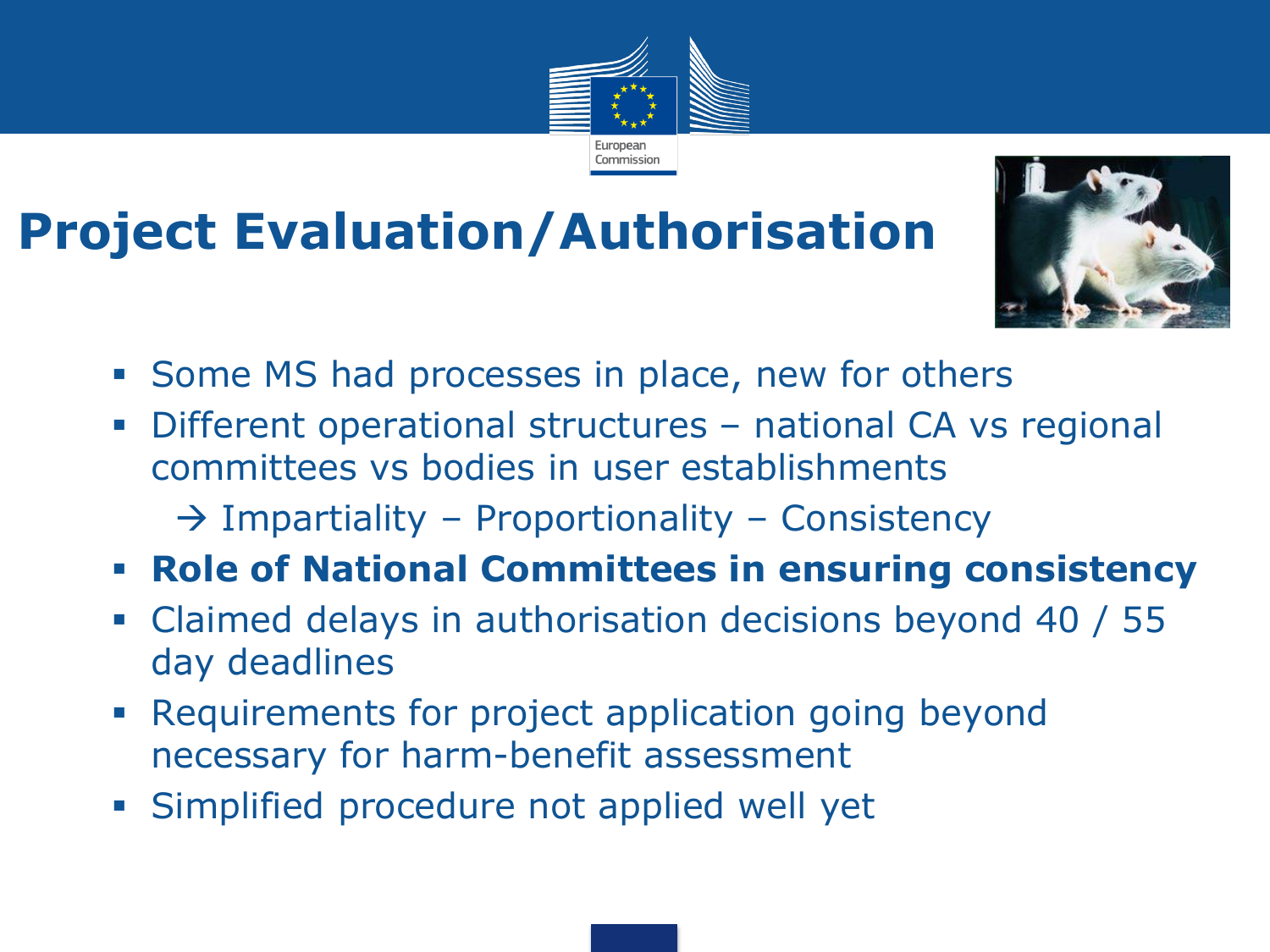#### **Project Evaluation/Authorisation**



- **Some MS had processes in place, new for others**
- Different operational structures national CA vs regional committees vs bodies in user establishments

European Commission

- $\rightarrow$  Impartiality Proportionality Consistency
- **Role of National Committees in ensuring consistency**
- Claimed delays in authorisation decisions beyond 40 / 55 day deadlines
- **Requirements for project application going beyond** necessary for harm-benefit assessment
- Simplified procedure not applied well yet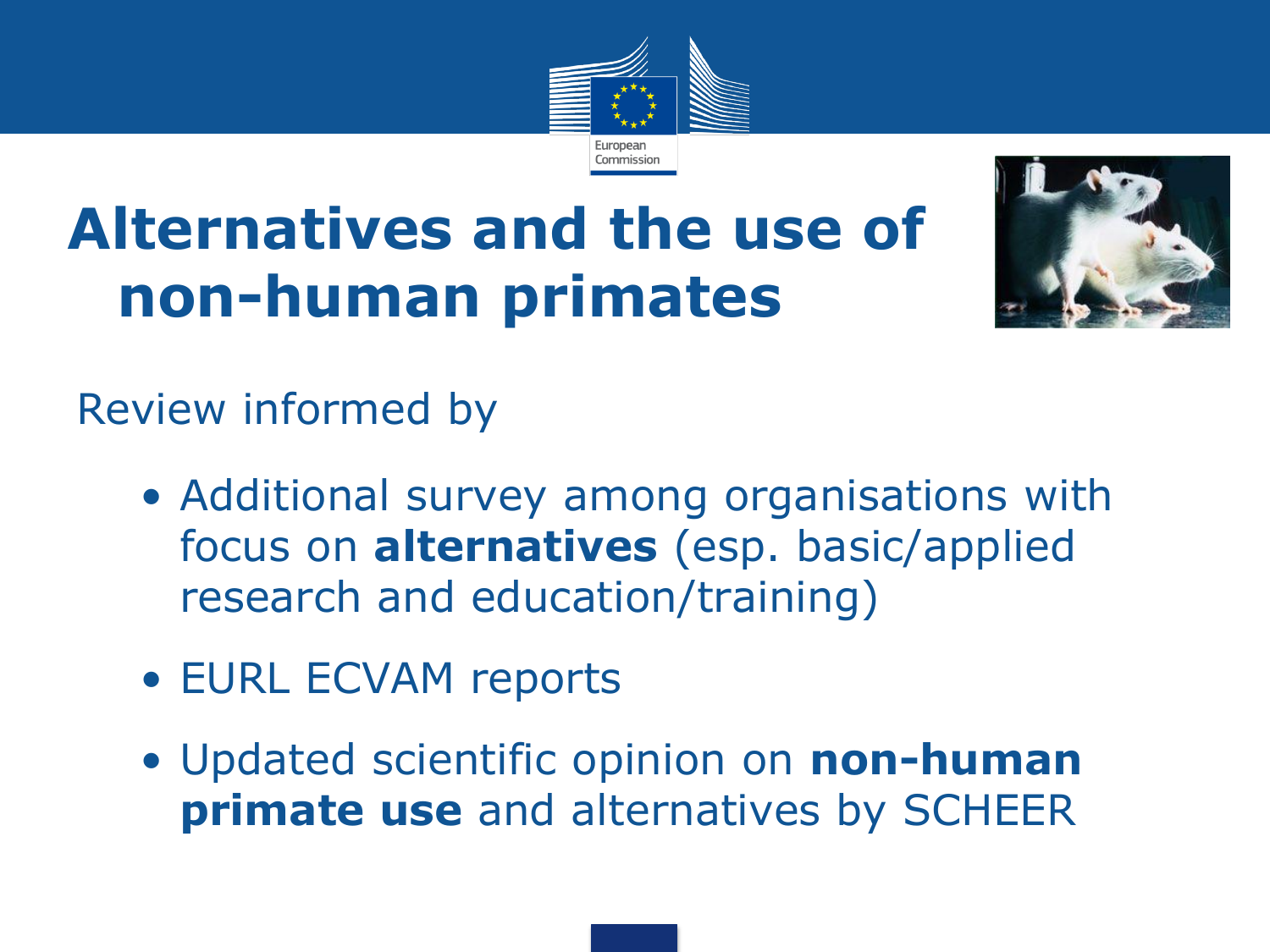

## **Alternatives and the use of non-human primates**



Review informed by

- Additional survey among organisations with focus on **alternatives** (esp. basic/applied research and education/training)
- EURL ECVAM reports
- Updated scientific opinion on **non-human primate use** and alternatives by SCHEER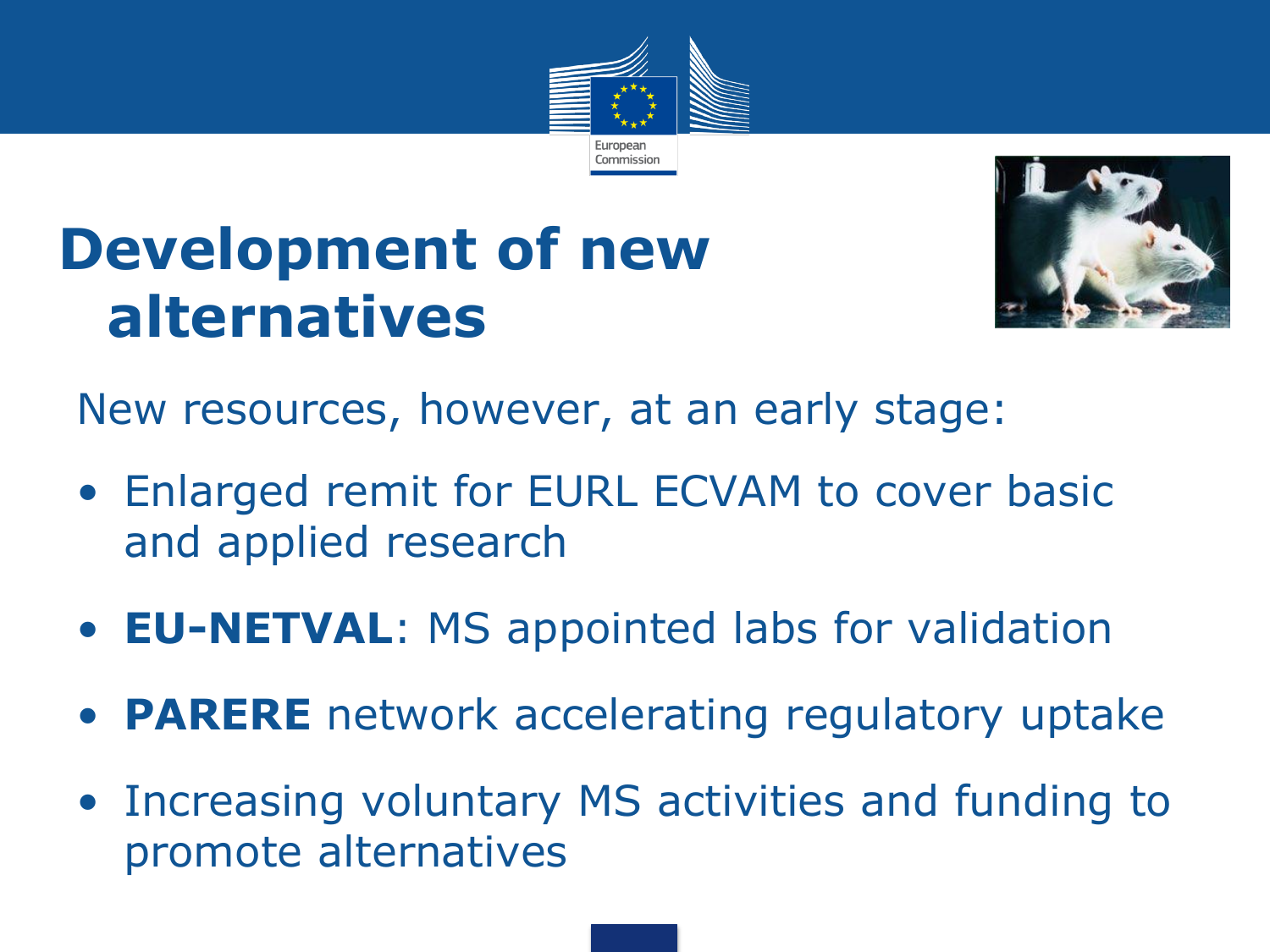

### **Development of new alternatives**



New resources, however, at an early stage:

- Enlarged remit for EURL ECVAM to cover basic and applied research
- **EU-NETVAL**: MS appointed labs for validation
- **PARERE** network accelerating regulatory uptake
- Increasing voluntary MS activities and funding to promote alternatives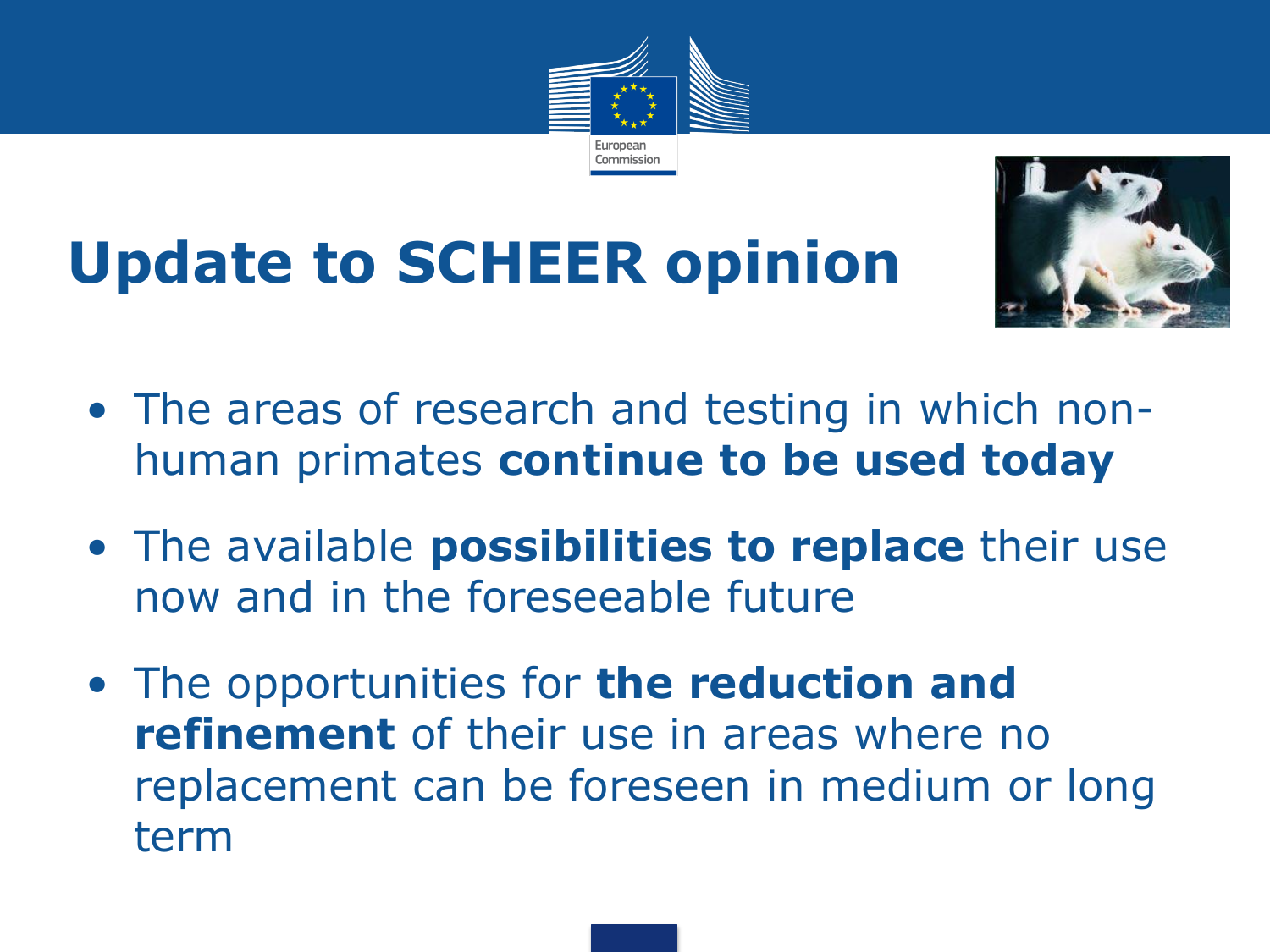

# **Update to SCHEER opinion**



- The areas of research and testing in which nonhuman primates **continue to be used today**
- The available **possibilities to replace** their use now and in the foreseeable future
- The opportunities for **the reduction and refinement** of their use in areas where no replacement can be foreseen in medium or long term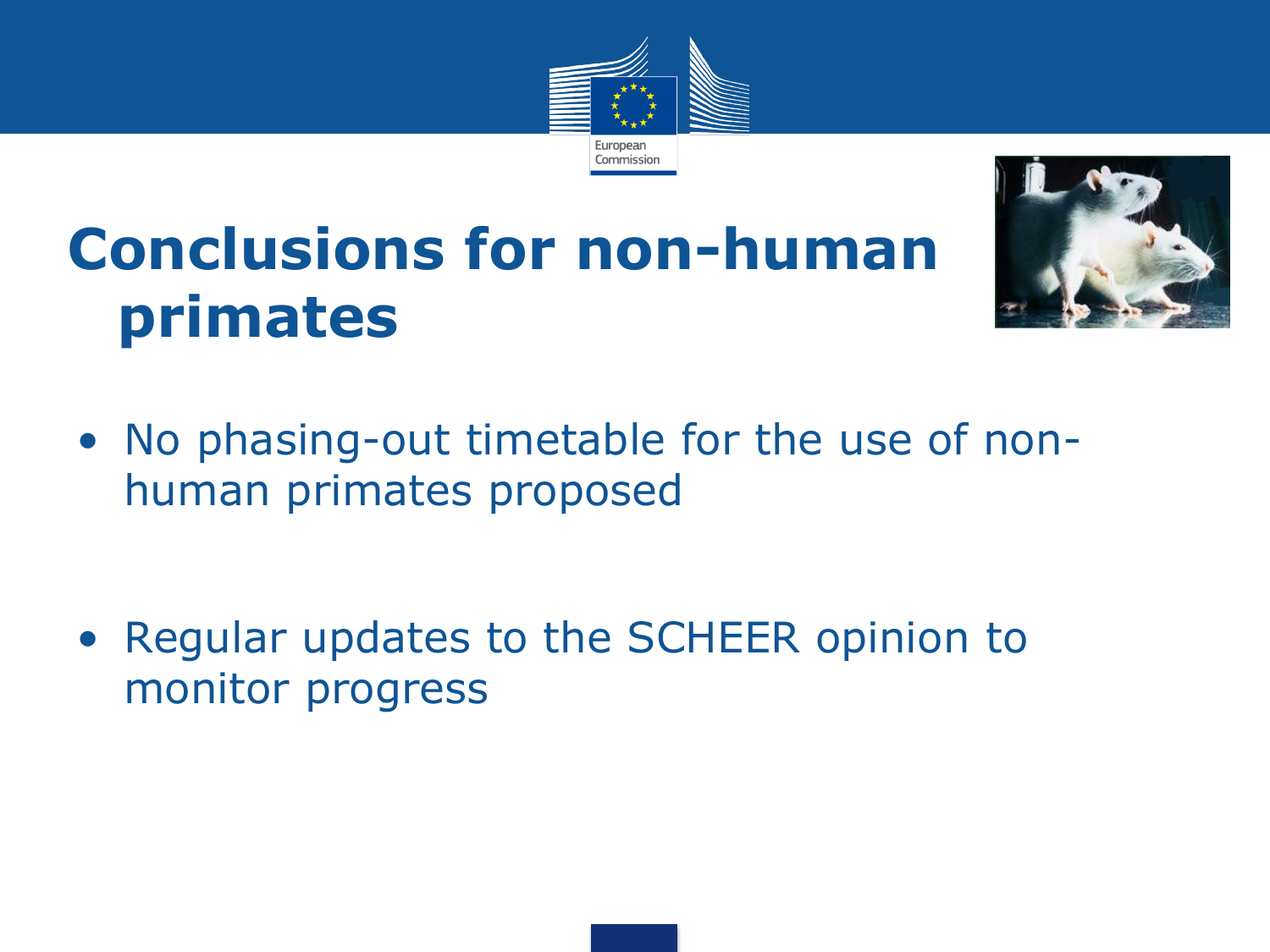

### **Conclusions for non-human primates**



• No phasing-out timetable for the use of nonhuman primates proposed

• Regular updates to the SCHEER opinion to monitor progress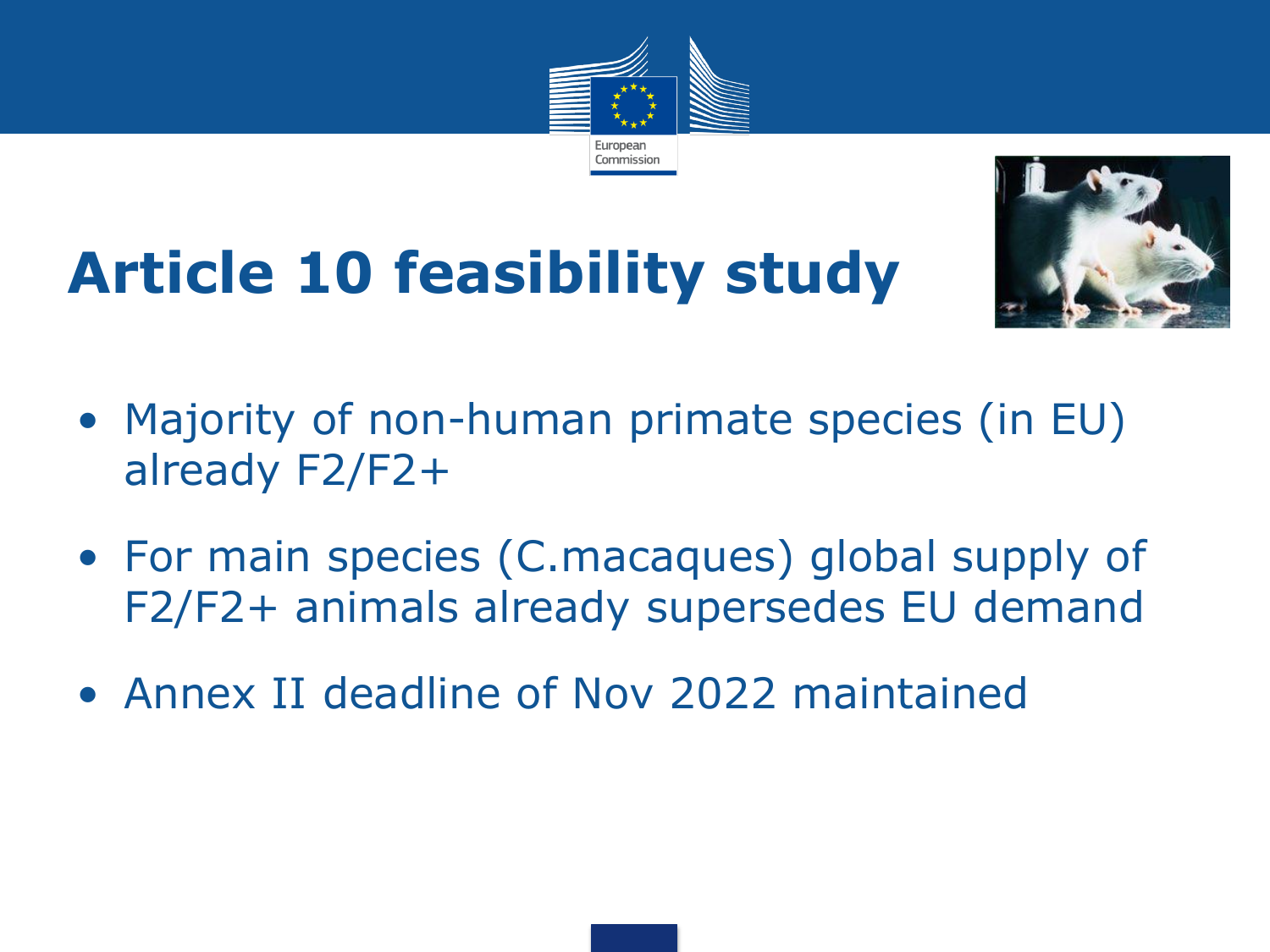





#### • Majority of non-human primate species (in EU) already F2/F2+

- For main species (C.macaques) global supply of F2/F2+ animals already supersedes EU demand
- Annex II deadline of Nov 2022 maintained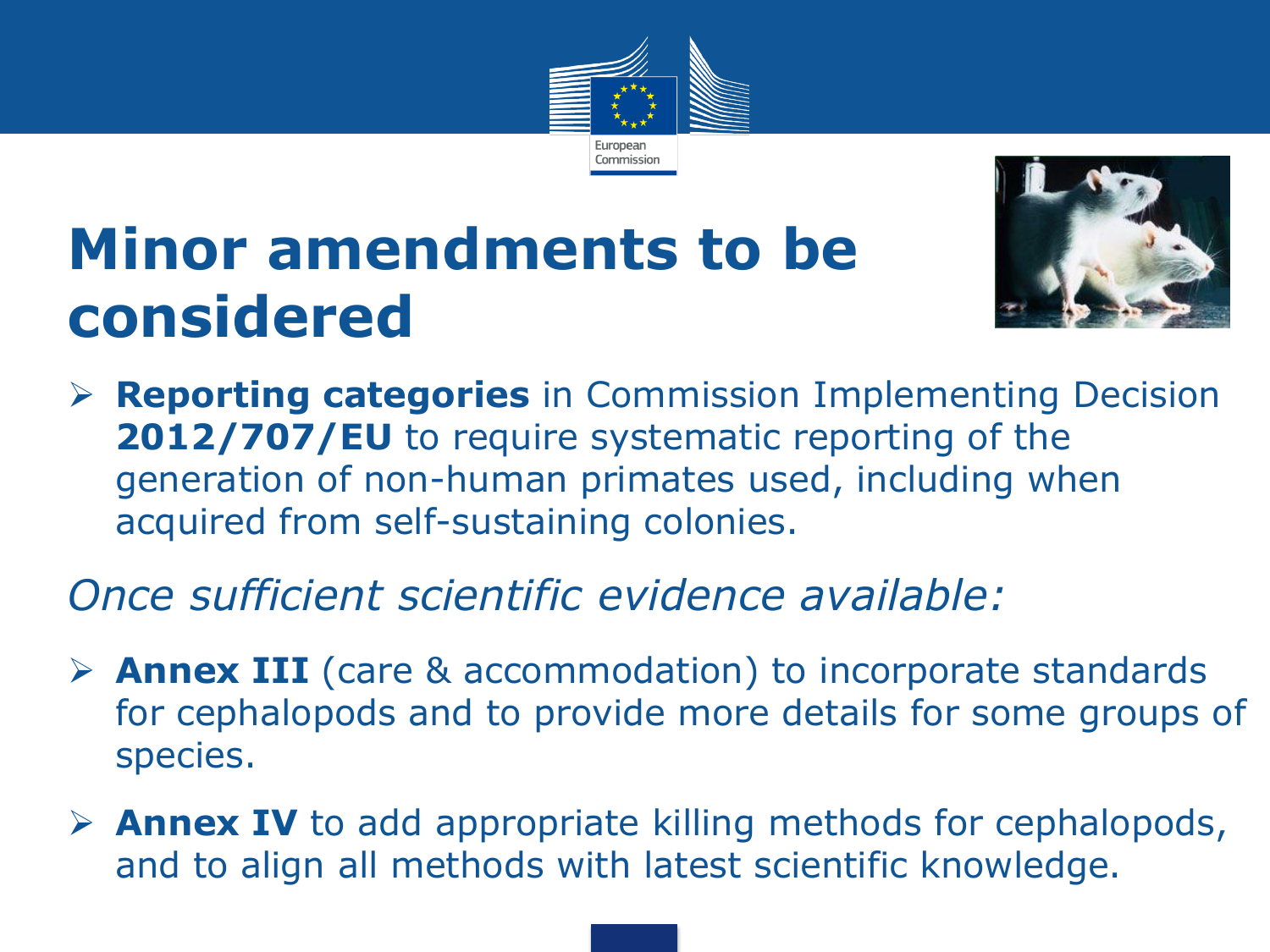

#### **Minor amendments to be considered**



 **Reporting categories** in Commission Implementing Decision 2012/707/EU to require systematic reporting of the generation of non-human primates used, including when acquired from self-sustaining colonies.

#### *Once sufficient scientific evidence available:*

- **Annex III** (care & accommodation) to incorporate standards for cephalopods and to provide more details for some groups of species.
- **Annex IV** to add appropriate killing methods for cephalopods, and to align all methods with latest scientific knowledge.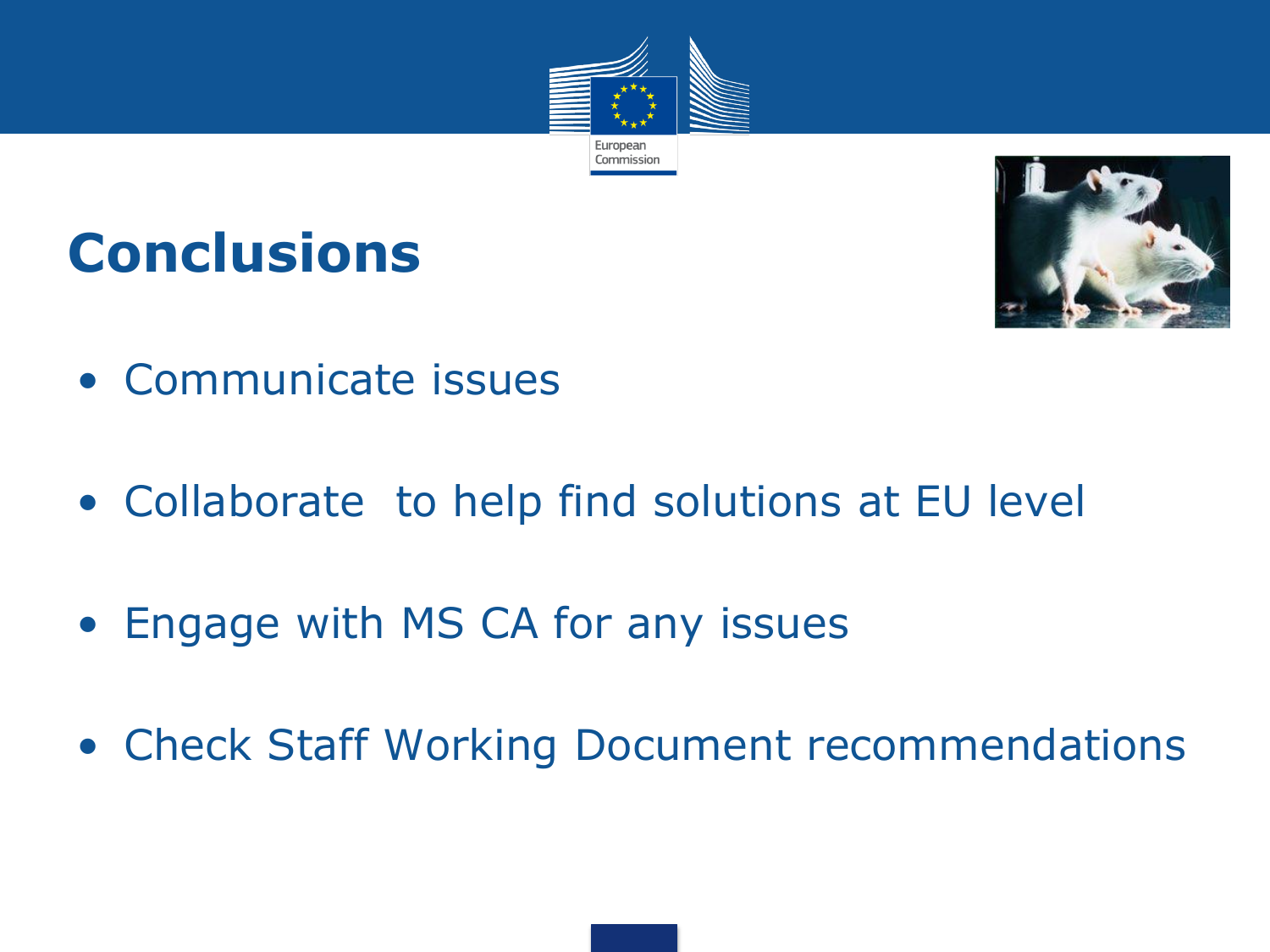

#### **Conclusions**



- Communicate issues
- Collaborate to help find solutions at EU level
- Engage with MS CA for any issues
- Check Staff Working Document recommendations